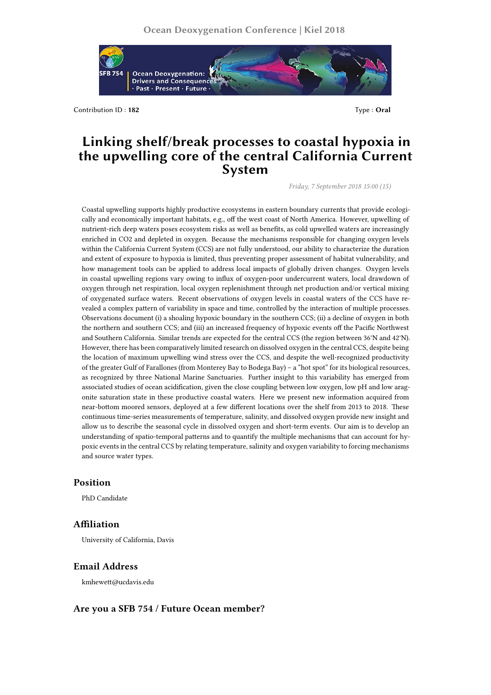

Contribution ID: **182** Type : **Oral** 

# **Linking shelf/break processes to coastal hypoxia in the upwelling core of the central California Current System**

*Friday, 7 September 2018 15:00 (15)*

Coastal upwelling supports highly productive ecosystems in eastern boundary currents that provide ecologically and economically important habitats, e.g., off the west coast of North America. However, upwelling of nutrient-rich deep waters poses ecosystem risks as well as benefits, as cold upwelled waters are increasingly enriched in CO2 and depleted in oxygen. Because the mechanisms responsible for changing oxygen levels within the California Current System (CCS) are not fully understood, our ability to characterize the duration and extent of exposure to hypoxia is limited, thus preventing proper assessment of habitat vulnerability, and how management tools can be applied to address local impacts of globally driven changes. Oxygen levels in coastal upwelling regions vary owing to influx of oxygen-poor undercurrent waters, local drawdown of oxygen through net respiration, local oxygen replenishment through net production and/or vertical mixing of oxygenated surface waters. Recent observations of oxygen levels in coastal waters of the CCS have revealed a complex pattern of variability in space and time, controlled by the interaction of multiple processes. Observations document (i) a shoaling hypoxic boundary in the southern CCS; (ii) a decline of oxygen in both the northern and southern CCS; and (iii) an increased frequency of hypoxic events off the Pacific Northwest and Southern California. Similar trends are expected for the central CCS (the region between 36°N and 42°N). However, there has been comparatively limited research on dissolved oxygen in the central CCS, despite being the location of maximum upwelling wind stress over the CCS, and despite the well-recognized productivity of the greater Gulf of Farallones (from Monterey Bay to Bodega Bay) – a "hot spot" for its biological resources, as recognized by three National Marine Sanctuaries. Further insight to this variability has emerged from associated studies of ocean acidification, given the close coupling between low oxygen, low pH and low aragonite saturation state in these productive coastal waters. Here we present new information acquired from near-bottom moored sensors, deployed at a few different locations over the shelf from 2013 to 2018. These continuous time-series measurements of temperature, salinity, and dissolved oxygen provide new insight and allow us to describe the seasonal cycle in dissolved oxygen and short-term events. Our aim is to develop an understanding of spatio-temporal patterns and to quantify the multiple mechanisms that can account for hypoxic events in the central CCS by relating temperature, salinity and oxygen variability to forcing mechanisms and source water types.

## **Position**

PhD Candidate

### **Affiliation**

University of California, Davis

#### **Email Address**

kmhewett@ucdavis.edu

#### **Are you a SFB 754 / Future Ocean member?**